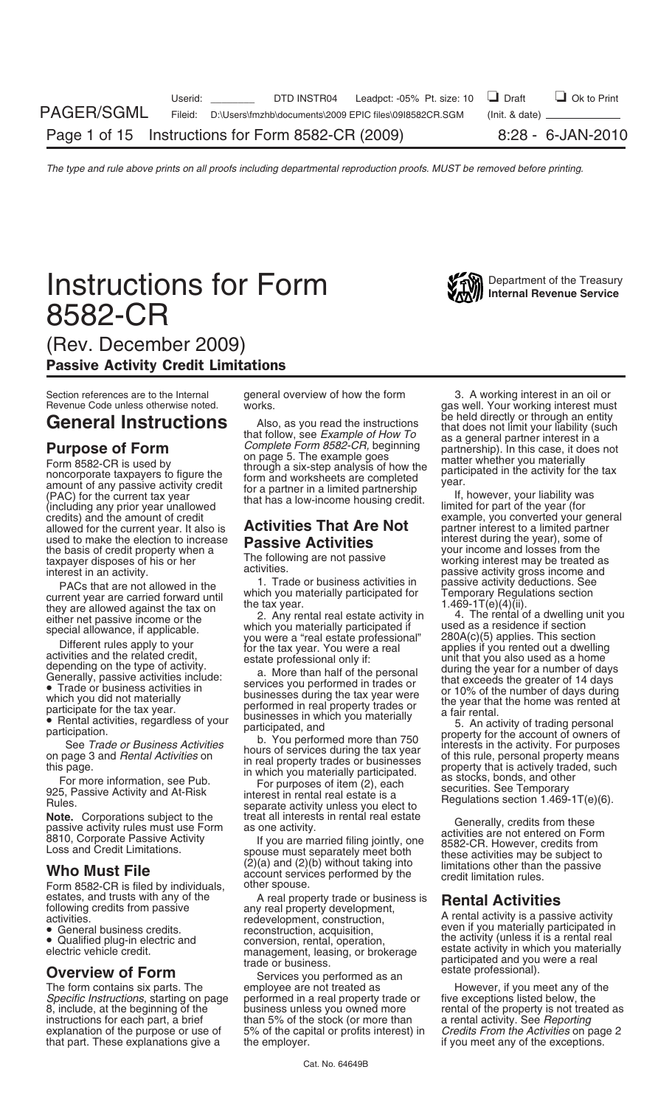## **Instructions for Form WAN** Department of the Treasury 8582-CR

## (Rev. December 2009) Passive Activity Credit Limitations

Section references are to the Internal general overview of how the form and 3. A working interest in an oil or<br>Revenue Code unless otherwise noted. Works. The very series of the very seriest must

(including any prior year unallowed<br>
credits) and the amount of credit<br>
allowed for the current year. It also is **Activities That Are Not** example, you converted your general<br>
partner interest to a limited partner used to make the election to increase **Passive Activities** interest during the year), some of the basis of credit property when a **Passive Activities** your income and losses from the taxpayer disposes of his or her **The fo** taxpayer disposes of his or her The following are not pay be the following interest in an activities.

Form 8582-CR is filed by individuals, other spouse.

*Specific Instructions*, starting on page performed in a real property trade or 8, include, at the beginning of the business unless you owned more rental of the property is not treated as instructions for each part, a brief than 5% of the stock (or more than a rental activity. See *Reporting* instructions for each part, a brief hthan 5% of the stock (or more than a rental activity. See *Reporting*<br>explanation of the purpose or use of 5% of the capital or profits interest) in *Credits From the Activities* on pag that part. These explanations give a the employer. The exceptions if you meet any of the exceptions.

**General Instructions**<br> **Form**<br> **Form**<br> **Form**<br> **Form**<br> **Form**<br> **Form**<br> **Form**<br> **Form**<br> **Form**<br> **Form**<br> **Form**<br> **Form**<br> **Form**<br> **Form**<br> **Form**<br> **Form**<br> **Form**<br> **Form**<br> **Form**<br> **Form**<br> **Form**<br> **Form**<br> **Form**<br> **Form**<br> **Form** 

## **Activities That Are Not** partner interest to a limited partner<br>**Passive Activities** interest during the year), some of

925, Passive Activity and At-Risk interest in rental real estate is a<br>Rules. See Ferral research example activity unless you elect to separate activity unless you elect to separate activity unless you elect to  $\frac{1.469-1$ 

Sollowing credits from passive any real property trade or business is **Rental Activities**<br>
Following credits from passive any real property development,<br>
activities.<br>
• General business credits.<br>
• General business credit

employee are not treated as **Form contains it parts.** However, if you meet any of the performed in a real property trade or **the exceptions listed below**, the 5% of the capital or profits interest) in

gas well. Your working interest must<br>be held directly or through an entity

interest in an activity.<br>PACs that are not allowed in the **the activities** or business activities in passive activity deductions. See

PACs that are not allowed in the<br>
untimelying the tax year.<br>
current year allows are carried forward until<br>
they are allows decision they are allows decision<br>
they are allows decision<br>
either or passive incomen or the<br>
ei

**Note.** Corporations subject to the treat all interests in rental real estate<br>passive activity rules must use Form as one activity.<br>8810, Corporate Passive Activity If you are married filing jointly, one activities are not

electric vehicle credit. **Conservation** management, leasing, or brokerage estate activity in which you mate<br>
trade or business.<br>
The form contains six parts. The employee are not treated as an Experiment of the term contai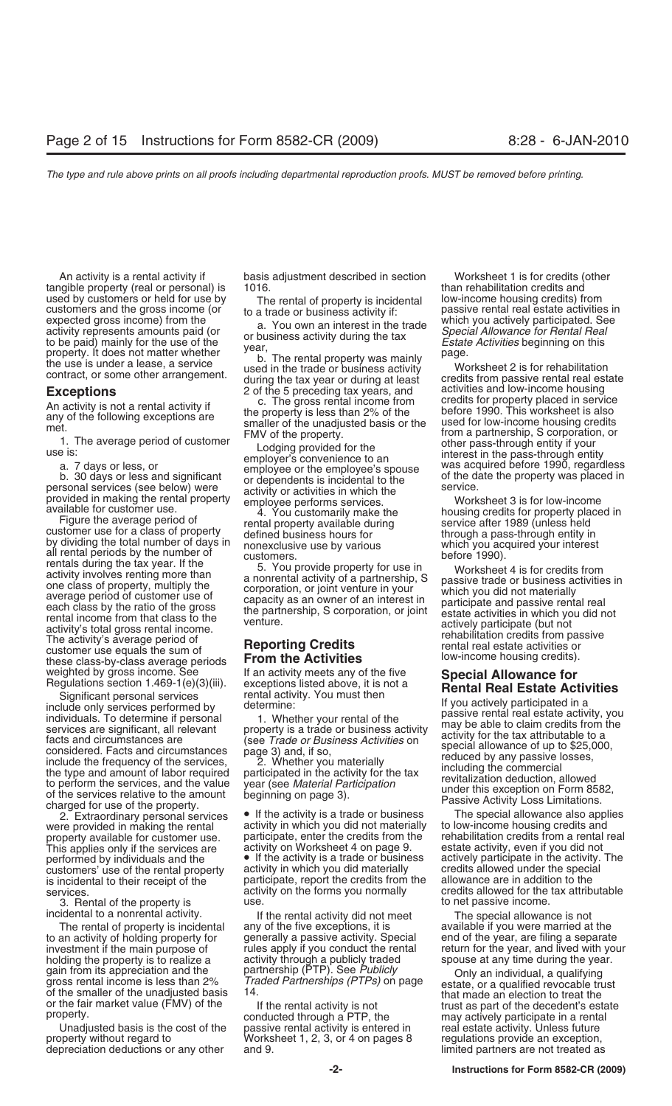tangible property (real or personal) is 1016. used by customers or held for use by<br>
customers and the gross income (or<br>
a trade or business activity if:<br>
a You own an interest in the trade<br>
activity represents amounts paid (or<br>
to a trade or business activity if:<br>
a Y

The activity is not a rental activity if the property is less feat income from the before the point of the property is less from 2% of the before the summer of the individual of the property of the unadjusted basis or the

include only services performed by<br>include only services performed by determine:<br>individuals. To determine if personal<br>services are significant, all relevant<br>facts and circumstances are<br>facts and circumstances are (see *Tr* 

3. Rental of the property is.

to an activity of holding property for generally a passive activity. Special end of the year, are filing a separate<br>investment if the main purpose of rules apply if you conduct the rental return for the year, and lived wit holding the property is to realize a activity through a publicly traded spouse at any time during the year.<br>
gain from its appreciation and the partnership (PTP). See *Publicly* Chivian individual a qualifying gain from its appreciation and the partnership (PTP). See Publicly only an individual, a qualifying<br>gross rental income is less than 2% Traded Partnerships (PTPs) on page estate, or a qualified revocable trust<br>of the small

property without regard to Worksheet 1, 2, 3, or 4 on pages 8

An activity is a rental activity if basis adjustment described in section Worksheet 1 is for credits (other basis 1016.<br>Anible property (real or personal) is 1016.

weighted by gross income. See If an activity meets any of the five **Special Allowance for**<br>
Regulations section 1.469-1(e)(3)(iii). exceptions listed above, it is not a<br>
Significant personal services rental activity. You m

property available for customer use. barticipate, enter the credits from the crehabilitation credits from a rental<br>This applies only if the services are cactivity on Worksheet 4 on page 9. Castate activity, even if you d This applies only if the services are activity on Worksheet 4 on page 9. This astate activity, even if you did not<br>performed by individuals and the **the activity is a trade or business** actively participate in the activity performed by individuals and the • If the activity is a trade or business actively participate in the activity.<br>
customers' use of the rental property activity in which you did materially credits allowed under the special activity in which you did materially exactivity allowed under the special participate, report the credits from the allowance are in addition to the is incidental to their receipt of the participate, report the credits from the services.

incidental to a nonrental activity. If the rental activity did not meet The special allowance is not<br>The rental of property is incidental any of the five exceptions, it is available if you were married at the The rental of property is incidental any of the five exceptions, it is<br>an activity of holding property for a generally a passive activity. Special

Unadjusted basis is the cost of the passive rental activity is entered in ereal estate activity. Unless future<br>yerty without regard to solution worksheet 1, 2, 3, or 4 on pages 8 regulations provide an exception, depreciation deductions or any other and 9. limited partners are not treated as

Exceptions<br> **Exceptions** 2 of the 5 preceding tax years, and activities and low-income housing<br>
2 of the 5 preceding tax years, and activities and low-income housing<br>
2 of the 5 preceding tax years, and activities and low-

2. Extraordinary personal services • If the activity is a trade or business The special allowance also applies<br>were provided in making the rental activity in which you did not materially to low-income housing credits and activity in which you did not materially to low-income housing credits and<br>participate, enter the credits from the rehabilitation credits from a rental real services.<br>3. Rental of the property is use use the forms you normally the the tax attributable<br>3. Rental of the property is use use.

investment if the main purpose of rules apply if you conduct the rental return for the year, and lived with your<br>holding the property is to realize a activity through a publicly traded spouse at any time during the year.

or the smaller or the unadjusted basis in the rental activity is not the fair market value (FMV) of the If the rental activity is not trust as part of the decedent's estate conducted through a PTP, the may actively partici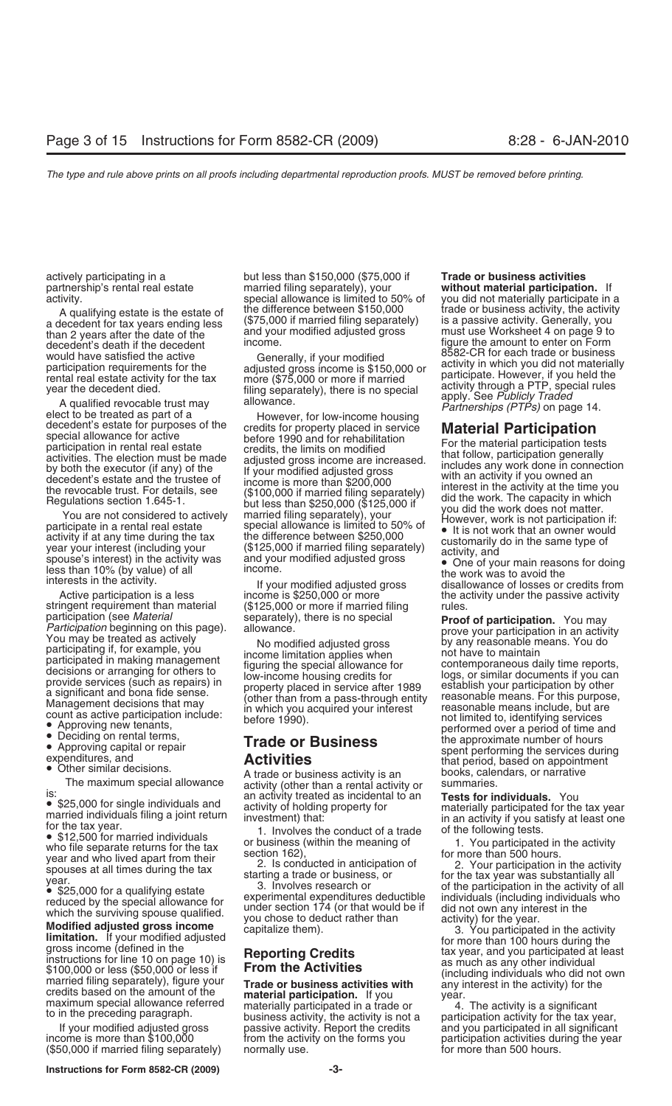decedent's death if the decedent income.<br>Would have satisfied the active income. Figure modified on the amount to enter on Form

stringent requirement than material (\$125,000 or more if married filing rules.<br>
Participation (see Material space) separately), there is no special<br>
Proof **of participation.** You may<br>
participation beginning on this page).

- 
- 
- 

is:<br>
Sexanted individuals and activity of holding property for the activity of holding property of the activity of holding property for the an activity of holding in a contribution of the fax year.<br>
Sexante the same of th

actively participating in a but less than \$150,000 (\$75,000 if **Trade or business activities** married filing separately), your **without material participation.** If activity. special allowance is limited to 50% of you did not materially participate in a A qualifying estate is the estate of the difference between \$150,000 trade or business activity, the activity<br>Lecedent for tax vears ending less (\$75,000 if married filing separately) is a passive activity. Generally, you a decedent for tax years ending less  $(375,000$  if married filling separately) is a passive activity. Generally, you<br>than 2 years after the date of the and your modified adjusted gross must use Worksheet 4 on page 9 to<br>dec

would have satisfied the active<br>
participation requirements for the adjusted gross incomes is \$150,000 or activity in which you did not materially<br>
prend adjusted and the tax<br>
prend adjusted for the tax<br>
more (\$75,000 or

The maximum special allowance activity (other than a rental activity or summaries.<br>The maximum special allowance activity (other than a rental activity or summaries.<br>an activity treated as incidental to an **Tests for ir** 

(\$50,000 if married filing separately) normally use. The more than 500 hours.

Active participation is a less income is \$250,000 or more the activity under the passive activity

If your modified adjusted gross passive activity. Report the credits and you participated in all significant income is more than \$100,000 from the activity on the forms you participation activities during the year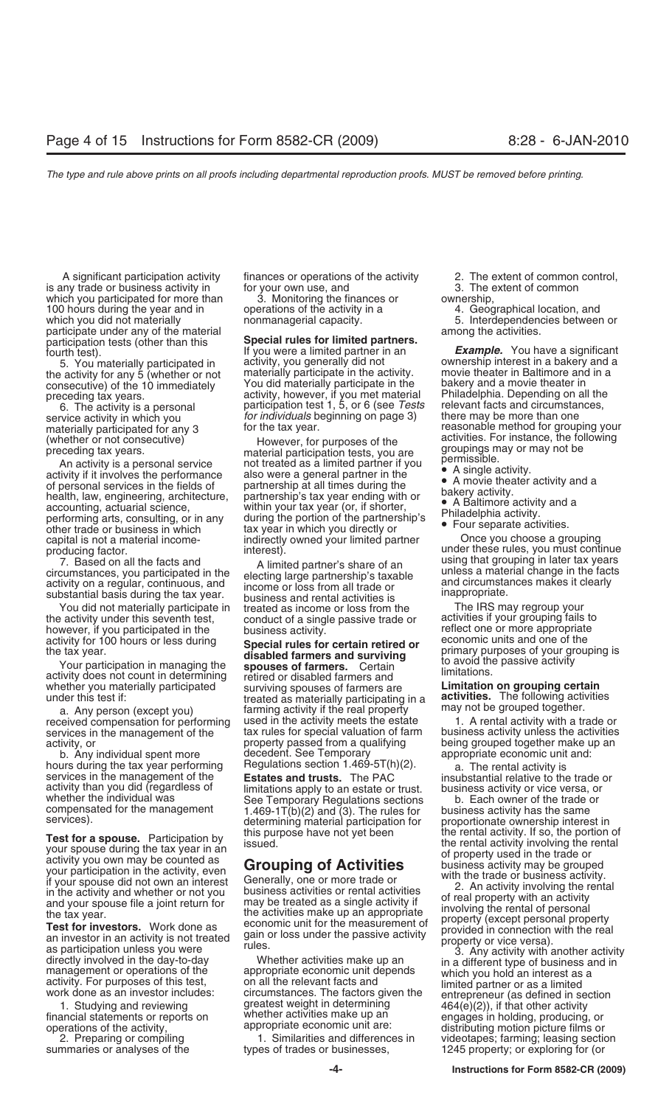is any trade or business activity in for your own use, and which you participated for more than 3. Monitoring the finances or ownership,<br>100 hours during the year and in operations of the activity in a 4. Geographical location, and 100 hours during the year and in which you did not materially participate under any of the material among the activities. participation tests (other than this **Special rules for limited partners.**

other trade or business in which tax year in which you directly or<br>capital is not a material income- indirectly owned your limited partner Once you choose a grouping

7. Based on all the facts and<br>circumstances, you participated in the<br>activity on a regular, continuous, and<br>substantial basis during the tax year.<br>business and rental activities is<br>the substantial basis during the tax year

the activity under this seventh test, conduct of a single passive trade or however, if you participated in the business activity. however, if you participated in the business activity.<br>
activity for 100 hours or less during **Special rules for certain retired or** economic units and one of the

activity does not count in determining retired or disabled farmers and<br>whether you materially participated surviving spouses of farmers are **Limitation on grouping certain**<br>under this test if: treated as materially partici

received compensation for performing used in the activity meets the estate services in the management of the tax rules for special valuation of farm services in the management of the  $\overline{a}$  tax rules for special valuation of farm business activity unless the activities<br>property passed from a qualifying being grouped together make up an

hours during the tax year performing Regulations section 1.469-5T(h)(2). a. The rental activity is services in the management of the **Estates and trusts.** The PAC insubstantial relative to the trade or activity than you di

**Test for a spouse.** Participation by<br>
your spouse during the tax year in an<br>
activity you own may be counted as<br>
your participation in the activity, even<br>
if your spouse did not own an interest<br>
in the activity and whethe

The activity and when the tax year.<br>
The activity is the tax year. The structure of the tax year.<br>
The tax year. The activities make up an appropriate<br>
the tax year. Work done as<br>
an investor in an activity is not treated<br>

financial statements or reports on engage in the matrice make up an operations of the activity,  $appropriate economic unit are$ 

A significant participation activity finances or operations of the activity 2. The extent of common control, <br>A significant participation of the stending of the extent of common control,

5. You materially participated in activity, you generally did not and ownership interest in a bakery and a<br>activity for any 5 (whether or not a materially participate in the activity. The movie theater in Baltimore and in the activity for any 5 (whether or not materially participate in the activity. The movie theater in Baltimore and<br>consecutive) of the 10 immediately consider all materially participate in the bakery and a movie theater in consecutive) of the 10 immediately You did materially participate in the preceding tax years. eceding tax years.<br>6. The activity is a personal participation test 1, 5, or 6 (see Tests relevant facts and circumstances, participation test 1, 5, or 6 (see *Tests* relevant facts and circumstan<br>for individuals beginning on page 3) there may be more than one service activity in which you *for individuals* beginning on page 3) materially participated for any 3 for the tax year.

An activity is a personal service<br>activity if it involves the performance<br>of personal services in the fields of<br>health, law, engineering, architecture,<br>accounting, actuarial science,<br>accounting, actuarial science, within y

Substantial basis during the tax year.<br>You did not materially participate in treated as income or loss from the The IRS may regroup your<br>the activity under this seventh test, conduct of a single passive trade or activities

activity for 100 hours or less during<br>the tax year.<br>
Your participation in managing the **Special rules for certain retired or**<br> **Special rules for certain retired or**<br> **Special rules for certain retired or**<br> **Special rules** treated as materially participating in a **activities.** The following activity if the real property may not be grouped together. a. Any person (except you) farming activity if the real property final may not be grouped together.<br>ceived compensation for performing used in the activity meets the estate frace and activity with a trade or itivity, or **property passed from a qualifying** being grouped together make up an b.<br>
b. Any individual spent more decedent. See Temporary appropriate economic unit and: decedent. See Temporary appropriate economic unit and:<br>Regulations section 1.469-5T(h)(2).  $\qquad a$  The rental activity is

activity than you did (regardless of limitations apply to an estate or trust. business activity or vice versa, or whether the individual was See Temporary Regulations sections b. Each owner of the trade or compensated for compensated for the management 1.469-1T(b)(2) and (3). The rules for business activity has the same<br>services). determining material participation for proportionate ownership interest in<br>**Test for a spause** Dertisipation by

rk done as an investor includes:  $\begin{array}{rcl} \text{circ} & \text{circ} & \text{circ} & \text{or} \\ \text{1. } & \text{Studying and reviewing} & \text{1. } & \text{1. } & \text{1. } & \text{1. } & \text{1. } & \text{1. } & \text{1. } & \text{1. } & \text{1. } & \text{1. } & \text{1. } & \text{1. } & \text{1. } & \text{1. } & \text{1. } & \text{1. } & \text{1. } & \text{1. } & \text{1. } & \text{1.$ 

summaries or analyses of the types of trades or businesses, 1245 property; or exploring for (or

- 
- 

nonmanagerial capacity. The nonmanagerial capacity. The non-

If you were a limited partner in an **Example.** You have a significant fourth test).<br>5. You materially participated in activity, you generally did not ownership interest in a bakery and a materially participated for any 3 for the tax year.<br>  $\frac{1}{2}$  for the the tax year.<br>
However for purposes of the activities. For instance, the following (whether or not consecutive)<br>
preceding tax years. More that the preceding tax years.<br>
The preceding tax years.<br>
The preceding tax years.<br>
The preceding tax years.<br>  $\frac{1}{2}$  activity is a preceding section tests, you are

- 
- 
- 
- 
- 

producing factor.<br>7. Based on all the facts and  $\frac{1}{2}$  interest).<br>8. using that grouping in later tax years

propriate economic unit are: distributing motion picture films or<br>1. Similarities and differences in a prideotapes; farming; leasing section 2. Preparing or compiling 1. Similarities and differences in videotapes; farming; leasing section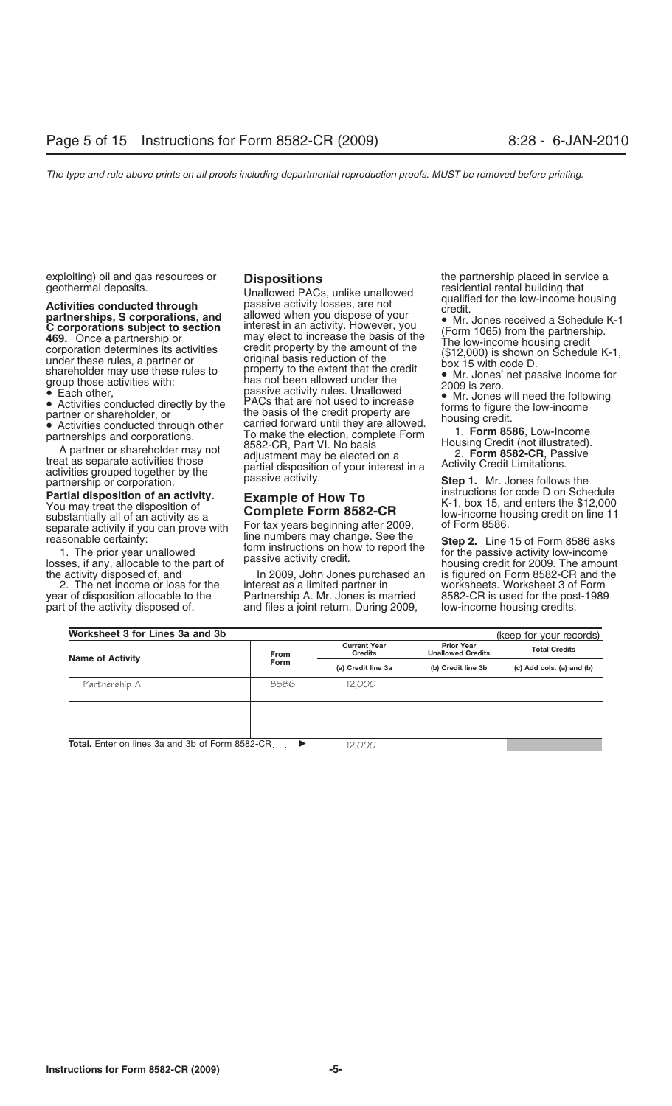exploiting) oil and gas resources or<br> **Command equalities conducted through**<br> **Activities conducted through**<br> **Activities conducted through**<br> **Activities conducted through**<br> **Compositions**<br> **Compositions**<br> **Compositions**<br> Partnerships and corporations.<br>
A partner or shareholder may not<br>
treat as separate activities those and the election, complete Form 1. Form 8586, Low-Income<br>
A partner or shareholder may not<br>
treat as separate activities

reasonable certainty:<br>
1. The prior year unallowed<br>
I communistructions on how to report the<br>
losses, if any, allocable to the part of passive activity credit.<br>
Interview of passive activity credit.<br>
Interview of passive a

the activity disposed of, and In 2009, John Jones purchased an is figured on Form 8582-CR and the<br>2. The net income or loss for the interest as a limited partner in vorksheets. Worksheet 3 of Form year of disposition allocable to the Partnership A. Mr. Jones is married 8582-CR is used for the post-1989 part of the activity disposed of. and files a joint return. During 2009, low-income housing credits.

activities grouped together by the partial disposition or your interest in a corporation.<br>
passive activity.<br> **Step 1.** Mr. Jones follows the instructions for code D on Schedule<br> **Partial disposition of an activity**<br> **Exam Partial disposition of an activity.**<br>
You may treat the disposition of<br>
substantially all of an activity as a<br>
separate activity if you can prove with **Franklub Example to Form 8582-CR**<br>
Separate activity if you can prove

worksheets. Worksheet 3 of Form

| Worksheet 3 for Lines 3a and 3b<br>(keep for your records) |                            |                                                             |                                               |                           |  |
|------------------------------------------------------------|----------------------------|-------------------------------------------------------------|-----------------------------------------------|---------------------------|--|
| <b>Name of Activity</b>                                    | <b>From</b><br><b>Form</b> | <b>Current Year</b><br><b>Credits</b><br>(a) Credit line 3a | <b>Prior Year</b><br><b>Unallowed Credits</b> | <b>Total Credits</b>      |  |
|                                                            |                            |                                                             | (b) Credit line 3b                            | (c) Add cols. (a) and (b) |  |
| Partnership A                                              | 8586                       | 12,000                                                      |                                               |                           |  |
|                                                            |                            |                                                             |                                               |                           |  |
|                                                            |                            |                                                             |                                               |                           |  |
|                                                            |                            |                                                             |                                               |                           |  |
|                                                            |                            |                                                             |                                               |                           |  |
| <b>Total.</b> Enter on lines 3a and 3b of Form 8582-CR.    | $\blacktriangleright$      | 12,000                                                      |                                               |                           |  |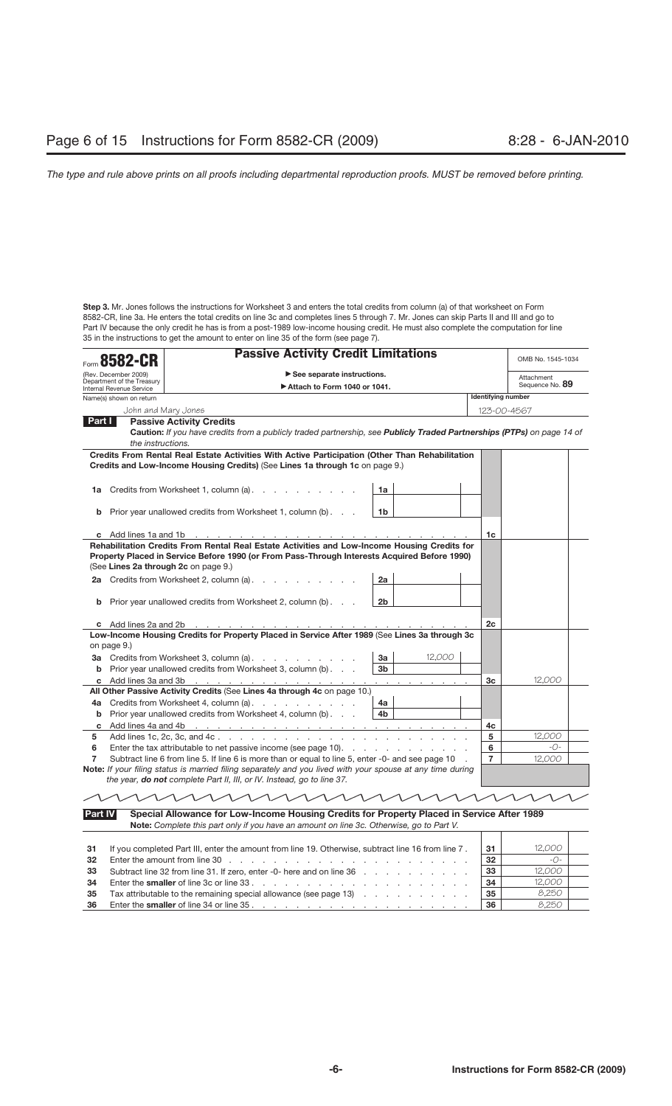**Step 3.** Mr. Jones follows the instructions for Worksheet 3 and enters the total credits from column (a) of that worksheet on Form 8582-CR, line 3a. He enters the total credits on line 3c and completes lines 5 through 7. Mr. Jones can skip Parts II and III and go to Part IV because the only credit he has is from a post-1989 low-income housing credit. He must also complete the computation for line 35 in the instructions to get the amount to enter on line 35 of the form (see page 7).

|         | 8582-CR                                            | <b>Passive Activity Credit Limitations</b>                                                                                                                                                                                           |                                     |                           | OMB No. 1545-1034 |
|---------|----------------------------------------------------|--------------------------------------------------------------------------------------------------------------------------------------------------------------------------------------------------------------------------------------|-------------------------------------|---------------------------|-------------------|
|         | (Rev. December 2009)<br>Department of the Treasury | See separate instructions.                                                                                                                                                                                                           |                                     |                           | Attachment        |
|         | Internal Revenue Service                           | Attach to Form 1040 or 1041.                                                                                                                                                                                                         |                                     |                           | Sequence No. 89   |
|         | Name(s) shown on return                            |                                                                                                                                                                                                                                      |                                     | <b>Identifying number</b> |                   |
|         |                                                    | John and Mary Jones                                                                                                                                                                                                                  |                                     |                           | 123-00-4567       |
| Part I  |                                                    | <b>Passive Activity Credits</b>                                                                                                                                                                                                      |                                     |                           |                   |
|         | the instructions.                                  | Caution: If you have credits from a publicly traded partnership, see <b>Publicly Traded Partnerships (PTPs)</b> on page 14 of                                                                                                        |                                     |                           |                   |
|         |                                                    | Credits From Rental Real Estate Activities With Active Participation (Other Than Rehabilitation<br>Credits and Low-Income Housing Credits) (See Lines 1a through 1c on page 9.)                                                      |                                     |                           |                   |
| 1a      |                                                    | Credits from Worksheet 1, column (a)                                                                                                                                                                                                 | 1a                                  |                           |                   |
| b       |                                                    | Prior year unallowed credits from Worksheet 1, column (b)                                                                                                                                                                            | 1b                                  |                           |                   |
|         | c Add lines 1a and 1b                              |                                                                                                                                                                                                                                      |                                     | 1c                        |                   |
|         |                                                    | Rehabilitation Credits From Rental Real Estate Activities and Low-Income Housing Credits for<br>Property Placed in Service Before 1990 (or From Pass-Through Interests Acquired Before 1990)<br>(See Lines 2a through 2c on page 9.) |                                     |                           |                   |
| 2a      |                                                    | Credits from Worksheet 2, column (a)                                                                                                                                                                                                 | 2a                                  |                           |                   |
| b       |                                                    | Prior year unallowed credits from Worksheet 2, column (b)                                                                                                                                                                            | 2 <sub>b</sub>                      |                           |                   |
|         | c Add lines 2a and 2b                              |                                                                                                                                                                                                                                      |                                     | 2c                        |                   |
|         |                                                    | Low-Income Housing Credits for Property Placed in Service After 1989 (See Lines 3a through 3c                                                                                                                                        |                                     |                           |                   |
|         | on page 9.)                                        |                                                                                                                                                                                                                                      |                                     |                           |                   |
|         |                                                    | <b>3a</b> Credits from Worksheet 3, column (a).                                                                                                                                                                                      | 12,000<br>За                        |                           |                   |
|         |                                                    | <b>b</b> Prior year unallowed credits from Worksheet 3, column (b)                                                                                                                                                                   | 3b                                  |                           |                   |
| C       | Add lines 3a and 3b                                | design and a state of the state                                                                                                                                                                                                      |                                     | Зc                        | 12,000            |
|         |                                                    | All Other Passive Activity Credits (See Lines 4a through 4c on page 10.)                                                                                                                                                             |                                     |                           |                   |
| 4a l    |                                                    | Credits from Worksheet 4, column (a).                                                                                                                                                                                                | 4a                                  |                           |                   |
| b       |                                                    | Prior year unallowed credits from Worksheet 4, column (b)                                                                                                                                                                            | 4b                                  |                           |                   |
|         |                                                    | c Add lines 4a and 4b $\ldots$ $\ldots$ $\ldots$ $\ldots$ $\ldots$ $\ldots$ $\ldots$ $\ldots$ $\ldots$                                                                                                                               |                                     | 4c                        |                   |
| 5       |                                                    |                                                                                                                                                                                                                                      |                                     | 5                         | 12,000            |
| 6       |                                                    | Enter the tax attributable to net passive income (see page 10).                                                                                                                                                                      |                                     | 6                         | $-() -$           |
| 7       |                                                    | Subtract line 6 from line 5. If line 6 is more than or equal to line 5, enter -0- and see page 10                                                                                                                                    |                                     | $\overline{7}$            | 12,000            |
|         |                                                    | Note: If your filing status is married filing separately and you lived with your spouse at any time during<br>the year, do not complete Part II, III, or IV. Instead, go to line 37.                                                 |                                     |                           |                   |
|         |                                                    |                                                                                                                                                                                                                                      |                                     |                           |                   |
| Part IV |                                                    | Special Allowance for Low-Income Housing Credits for Property Placed in Service After 1989                                                                                                                                           |                                     |                           |                   |
|         |                                                    | Note: Complete this part only if you have an amount on line 3c. Otherwise, go to Part V.                                                                                                                                             |                                     |                           |                   |
|         |                                                    |                                                                                                                                                                                                                                      |                                     |                           |                   |
| 31      |                                                    | If you completed Part III, enter the amount from line 19. Otherwise, subtract line 16 from line 7.                                                                                                                                   |                                     | 31                        | 12,000            |
| 32      |                                                    | Enter the amount from line $30$ .                                                                                                                                                                                                    |                                     | 32                        | -0-               |
| 33      |                                                    | Subtract line 32 from line 31. If zero, enter -0- here and on line 36                                                                                                                                                                |                                     | 33                        | 12,000            |
| 34      |                                                    | Enter the <b>smaller</b> of line 3c or line 33.                                                                                                                                                                                      | the contract of the contract of the | 34                        | 12,000            |
| 35      |                                                    | Tax attributable to the remaining special allowance (see page 13)                                                                                                                                                                    |                                     | 35                        | 8,250             |
| 36      |                                                    | Enter the smaller of line 34 or line 35.                                                                                                                                                                                             |                                     | 36                        | 8,250             |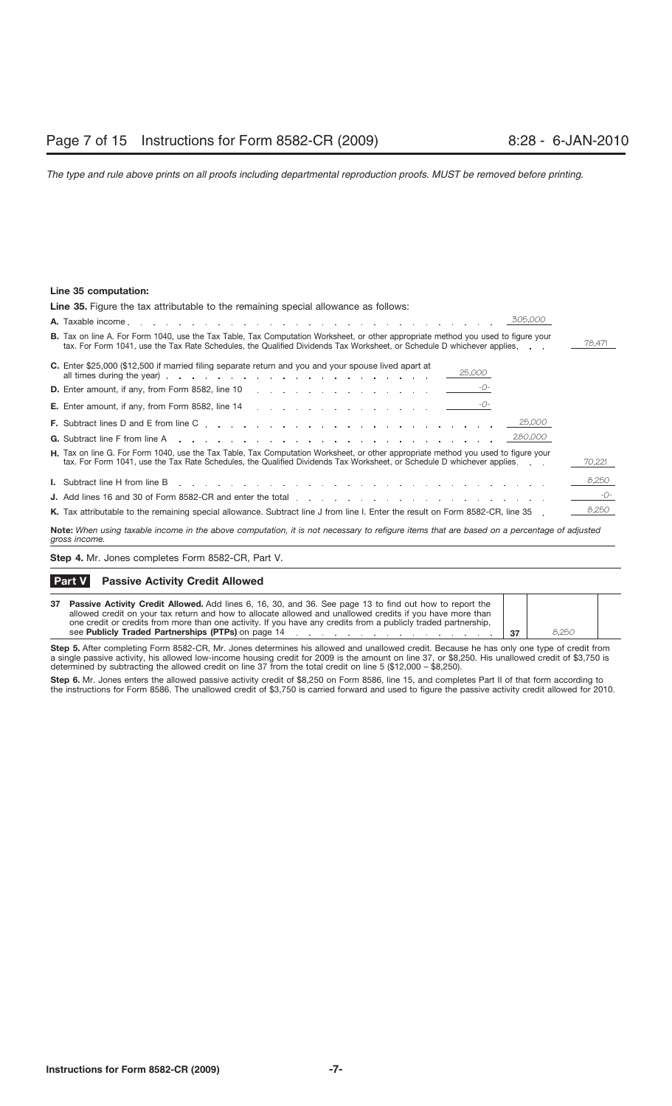## **Line 35 computation:**

| <b>Line 35.</b> Figure the tax attributable to the remaining special allowance as follows:                                                                                                                                                                           |        |
|----------------------------------------------------------------------------------------------------------------------------------------------------------------------------------------------------------------------------------------------------------------------|--------|
|                                                                                                                                                                                                                                                                      |        |
| <b>B.</b> Tax on line A. For Form 1040, use the Tax Table, Tax Computation Worksheet, or other appropriate method you used to figure your<br>tax. For Form 1041, use the Tax Rate Schedules, the Qualified Dividends Tax Worksheet, or Schedule D whichever applies. | 78,471 |
| C. Enter \$25,000 (\$12,500 if married filing separate return and you and your spouse lived apart at<br>25,000                                                                                                                                                       |        |
| -0-                                                                                                                                                                                                                                                                  |        |
| <b>E.</b> Enter amount, if any, from Form 8582, line 14 $\ldots$ , $\ldots$ , $\ldots$ , $\ldots$ , $\ldots$ , $\ldots$                                                                                                                                              |        |
|                                                                                                                                                                                                                                                                      |        |
|                                                                                                                                                                                                                                                                      |        |
| H. Tax on line G. For Form 1040, use the Tax Table, Tax Computation Worksheet, or other appropriate method you used to figure your<br>tax. For Form 1041, use the Tax Rate Schedules, the Qualified Dividends Tax Worksheet, or Schedule D whichever applies         | 70,221 |
| I. Subtract line H from line B (edge), and a contract the contract of the H from line B (edge), and a contract the contract of the contract of the contract of the contract of the contract of the contract of the contract of                                       | 8,250  |
|                                                                                                                                                                                                                                                                      | $-0-$  |
| K. Tax attributable to the remaining special allowance. Subtract line J from line I. Enter the result on Form 8582-CR, line 35                                                                                                                                       | 8,250  |
| Note: When using taxable income in the above computation, it is not necessary to refigure items that are based on a percentage of adjusted<br>gross income.                                                                                                          |        |

**Step 4.** Mr. Jones completes Form 8582-CR, Part V.

## **Passive Activity Credit Allowed Part V**

| 37 Passive Activity Credit Allowed. Add lines 6, 16, 30, and 36. See page 13 to find out how to report the     |    |       |  |
|----------------------------------------------------------------------------------------------------------------|----|-------|--|
| allowed credit on your tax return and how to allocate allowed and unallowed credits if you have more than      |    |       |  |
| one credit or credits from more than one activity. If you have any credits from a publicly traded partnership, |    |       |  |
| see Publicly Traded Partnerships (PTPs) on page 14 mag by a contract of the Public Partner.                    | 37 | 8.250 |  |

**Step 5.** After completing Form 8582-CR, Mr. Jones determines his allowed and unallowed credit. Because he has only one type of credit from a single passive activity, his allowed low-income housing credit for 2009 is the amount on line 37, or \$8,250. His unallowed credit of \$3,750 is determined by subtracting the allowed credit on line 37 from the total credit on line 5 (\$12,000 – \$8,250).

**Step 6.** Mr. Jones enters the allowed passive activity credit of \$8,250 on Form 8586, line 15, and completes Part II of that form according to the instructions for Form 8586. The unallowed credit of \$3,750 is carried forward and used to figure the passive activity credit allowed for 2010.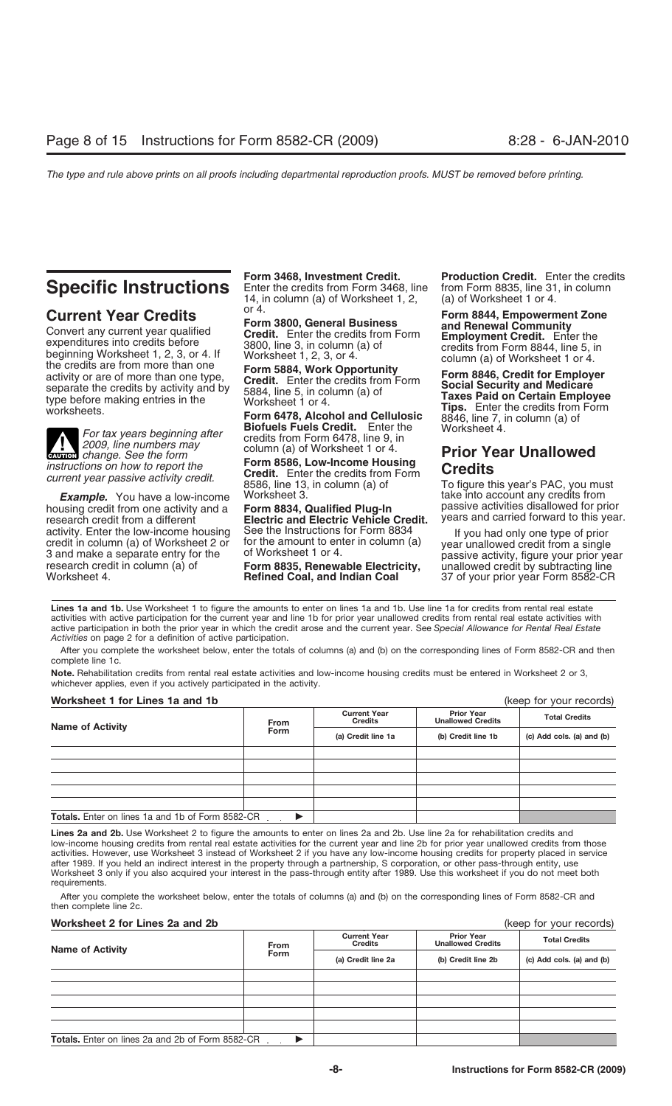**Current Year Credits**<br>
Convert any current year qualified<br>
expenditures into credits before<br>
beginning Worksheet 1, 2, 3, or 4. If<br>
the credits are from more than one<br>
activity or are of more than one<br>
separate the credi

For tax years beginning after<br>
2009, line numbers may<br>
change. See the form<br>
Form Searly Column (a) of Worksheet 1 or 4.<br>
Form SEARLY Drior Year Unallowed **CAUTION** *change. See the form* column (a) of Worksheet 1 or 4.<br> **CAUTION** *change. See the form* **Prior 8586, Low-Income Housing**<br> **Prior 8586, Low-Income Housing** 

housing credit from one activity and a **Form 8834, Qualified Plug-In** passive activities disallowed for prior activity. Enter the low-income housing See the Instructions for Form 8834 If you had only one type of prior<br>credit in column (a) of Worksheet 2 or for the amount to enter in column (a) year unallowed credit from a single<br>3

14, in column (a) of Worksheet 1, 2, or 4.

instructions on how to report the<br>current year passive activity credit. Then the credits from Form<br>8586, line 13, in column (a) of To figure this year's PAC, you must<br>Example. You have a low-income Worksheet 3.

**Electric and Electric Vehicle Credit.** See the Instructions for Form 8834

**Form 3468, Investment Credit.** Production Credit. Enter the credits **Specific Instructions** Enter the credits from Form 3468, line from Form 8835, line 31, in column 14, in column (a) of Worksheet 1, 2, (a) of Worksheet 1

type before making entries in the Worksheet 1 or 4.<br>Worksheet 1 or 4. Tips. Enter the credits from Form 6478, Alcohol and Cellulosic 8846, line 7, in column (a) of

**Example.** You have a low-income Worksheet 3. take into account any credits from<br>using credit from one activity and a **Form 8834 Qualified Plug-In** passive activities disallowed for prior

Worksheet 4. **Refined Coal, and Indian Coal** 37 of your prior year Form 8582-CR

Lines 1a and 1b. Use Worksheet 1 to figure the amounts to enter on lines 1a and 1b. Use line 1a for credits from rental real estate activities with active participation for the current year and line 1b for prior year unallowed credits from rental real estate activities with active participation in both the prior year in which the credit arose and the current year. See *Special Allowance for Rental Real Estate Activities* on page 2 for a definition of active participation.

After you complete the worksheet below, enter the totals of columns (a) and (b) on the corresponding lines of Form 8582-CR and then complete line 1c.

**Note.** Rehabilitation credits from rental real estate activities and low-income housing credits must be entered in Worksheet 2 or 3, whichever applies, even if you actively participated in the activity.

## **Worksheet 1 for Lines 1a and 1b** (keep for your records)

| <u>WURSIKEL I IVI LIIKS TA AIN ID</u><br>IVACA INI YUMI ICCOINSI |             |                                       |                                               |                           |  |  |
|------------------------------------------------------------------|-------------|---------------------------------------|-----------------------------------------------|---------------------------|--|--|
| <b>Name of Activity</b>                                          | <b>From</b> | <b>Current Year</b><br><b>Credits</b> | <b>Prior Year</b><br><b>Unallowed Credits</b> | <b>Total Credits</b>      |  |  |
|                                                                  | <b>Form</b> | (a) Credit line 1a                    | (b) Credit line 1b                            | (c) Add cols. (a) and (b) |  |  |
|                                                                  |             |                                       |                                               |                           |  |  |
|                                                                  |             |                                       |                                               |                           |  |  |
|                                                                  |             |                                       |                                               |                           |  |  |
|                                                                  |             |                                       |                                               |                           |  |  |
|                                                                  |             |                                       |                                               |                           |  |  |
| <b>Totals.</b> Enter on lines 1a and 1b of Form 8582-CR          |             |                                       |                                               |                           |  |  |

Lines 2a and 2b. Use Worksheet 2 to figure the amounts to enter on lines 2a and 2b. Use line 2a for rehabilitation credits and low-income housing credits from rental real estate activities for the current year and line 2b for prior year unallowed credits from those activities. However, use Worksheet 3 instead of Worksheet 2 if you have any low-income housing credits for property placed in service after 1989. If you held an indirect interest in the property through a partnership, S corporation, or other pass-through entity, use Worksheet 3 only if you also acquired your interest in the pass-through entity after 1989. Use this worksheet if you do not meet both requirements.

After you complete the worksheet below, enter the totals of columns (a) and (b) on the corresponding lines of Form 8582-CR and then complete line 2c.

## **Worksheet 2 for Lines 2a and 2b**

|  |  | (keep for your records) |  |
|--|--|-------------------------|--|
|  |  |                         |  |

| <b>Name of Activity</b>                                 | <b>From</b><br><b>Form</b> | <b>Current Year</b><br><b>Credits</b> | <b>Prior Year</b><br><b>Unallowed Credits</b> | <b>Total Credits</b>      |  |
|---------------------------------------------------------|----------------------------|---------------------------------------|-----------------------------------------------|---------------------------|--|
|                                                         |                            | (a) Credit line 2a                    | (b) Credit line 2b                            | (c) Add cols. (a) and (b) |  |
|                                                         |                            |                                       |                                               |                           |  |
|                                                         |                            |                                       |                                               |                           |  |
|                                                         |                            |                                       |                                               |                           |  |
|                                                         |                            |                                       |                                               |                           |  |
|                                                         |                            |                                       |                                               |                           |  |
| <b>Totals.</b> Enter on lines 2a and 2b of Form 8582-CR |                            |                                       |                                               |                           |  |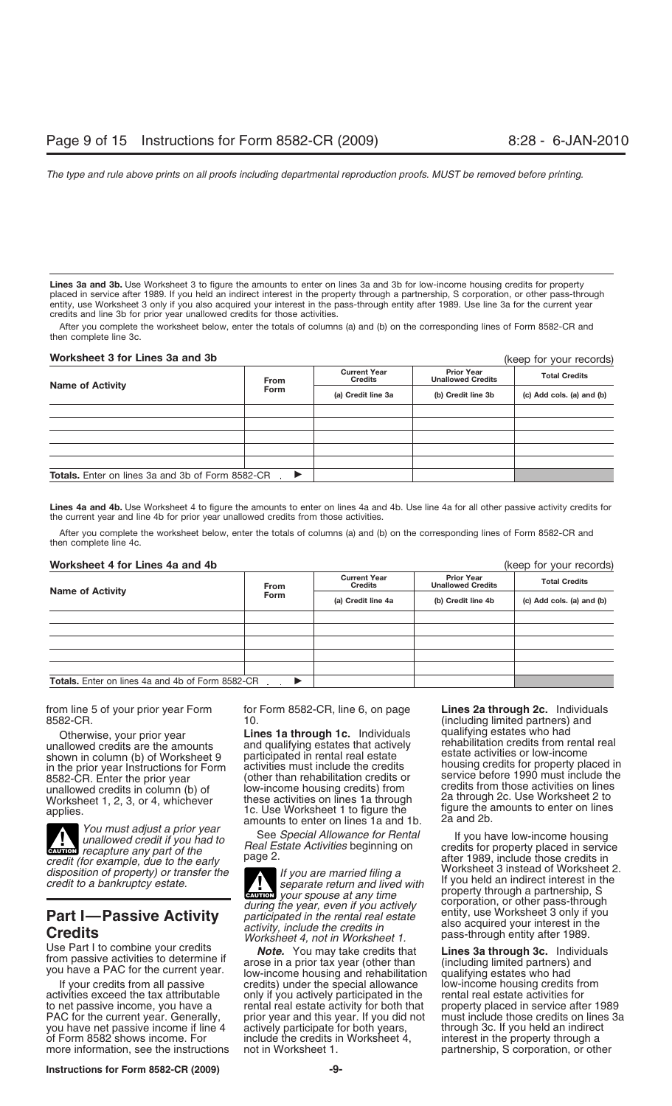**Lines 3a and 3b.** Use Worksheet 3 to figure the amounts to enter on lines 3a and 3b for low-income housing credits for property placed in service after 1989. If you held an indirect interest in the property through a partnership, S corporation, or other pass-through entity, use Worksheet 3 only if you also acquired your interest in the pass-through entity after 1989. Use line 3a for the current year credits and line 3b for prior year unallowed credits for those activities.

After you complete the worksheet below, enter the totals of columns (a) and (b) on the corresponding lines of Form 8582-CR and then complete line 3c.

## **Worksheet 3 for Lines 3a and 3b**

## (keep for your records)

| <b>Name of Activity</b>                                   | From          | <b>Current Year</b><br><b>Credits</b> | <b>Prior Year</b><br><b>Unallowed Credits</b> | <b>Total Credits</b>      |  |
|-----------------------------------------------------------|---------------|---------------------------------------|-----------------------------------------------|---------------------------|--|
|                                                           | <b>Form</b>   | (a) Credit line 3a                    | (b) Credit line 3b                            | (c) Add cols. (a) and (b) |  |
|                                                           |               |                                       |                                               |                           |  |
|                                                           |               |                                       |                                               |                           |  |
|                                                           |               |                                       |                                               |                           |  |
|                                                           |               |                                       |                                               |                           |  |
|                                                           |               |                                       |                                               |                           |  |
| <b>Totals.</b> Enter on lines 3a and 3b of Form 8582-CR . | $\rightarrow$ |                                       |                                               |                           |  |

**Lines 4a and 4b.** Use Worksheet 4 to figure the amounts to enter on lines 4a and 4b. Use line 4a for all other passive activity credits for the current year and line 4b for prior year unallowed credits from those activities.

After you complete the worksheet below, enter the totals of columns (a) and (b) on the corresponding lines of Form 8582-CR and then complete line 4c.

## **Worksheet 4 for Lines 4a and 4b** (keep for your records)

| <b>THE DISCRETE CONNECTED</b>                           | (MOOD TOT YOUT TOOOTUS) |                                       |                                               |                           |
|---------------------------------------------------------|-------------------------|---------------------------------------|-----------------------------------------------|---------------------------|
| <b>Name of Activity</b>                                 | From                    | <b>Current Year</b><br><b>Credits</b> | <b>Prior Year</b><br><b>Unallowed Credits</b> | <b>Total Credits</b>      |
|                                                         | <b>Form</b>             | (a) Credit line 4a                    | (b) Credit line 4b                            | (c) Add cols. (a) and (b) |
|                                                         |                         |                                       |                                               |                           |
|                                                         |                         |                                       |                                               |                           |
|                                                         |                         |                                       |                                               |                           |
|                                                         |                         |                                       |                                               |                           |
|                                                         |                         |                                       |                                               |                           |
| <b>Totals.</b> Enter on lines 4a and 4b of Form 8582-CR | $\blacktriangleright$   |                                       |                                               |                           |

Otherwise, your prior year **Lines 1a through 1c.** Individuals unallowed credits are the amounts and qualifying estates that actively shown in column (b) of Worksheet 9 participated in rental real estate<br>in the prior year Instructions for Form activities must include the credits<br>8582-CR. Enter the prior year (other than rehabilitation credits or service unallowed credits in column (b) of low-income housing credits) from credits from those activities on lines<br>Worksheet 1, 2, 3, or 4, whichever these activities on lines 1a through 2a through 2c. Use Worksheet 2 to<br>1c. Use W

You must adjust a prior year<br>
unallowed credit if you had to<br>
recapture any part of the heal Estate Activities beginning on the credits for property placed in service **EAUTION** recapture any part of the

of Form 8582 shows income. For include the credits in Worksheet 4, interest in the property interest in the property interest in the property interest in the property interest in the property interest in the property of Fo

applies. The figure the figure the amounts to enter on lines 1a and 1b. 2a and 2b.<br>Amounts to enter on lines 1a and 1b. 2a and 2b.<br>Soo Special Allowance for Pentel and 1b. 15 and 2b.

**ENTION** your spouse at any time **Part I**<br> **Passive Activity**<br> *Credits*<br> *Credits*<br> *Credits*<br> *Credits*<br> *Credits*<br> *Credits*<br> *Credits*<br> *Credits*<br> *Credits*<br> *Credits*<br> *Credits*<br> *Credits*<br> *Credits*<br> *Credits*<br> *Credits*<br> *Credits*<br> *Credits*<br> *Cred* 

Use Part T to combine your credits<br>from passive activities to determine if<br>you have a PAC for the current year.<br>If your credits from all passive<br>income housing and rehabilitation qualifying estates who had<br>If your credits If your credits from all passive credits) under the special allowance low-income housing credits from activities exceed the tax attributable only if you actively participated in the rental real estate activities for only if you actively participated in the to net passive income, you have a rental real estate activity for both that property placed in service after 1989<br>PAC for the current year. Generally, prior year and this year. If you did not must include those credits on prior year and this year. If you did not must include those credits on lines 3a<br>actively participate for both years, through 3c. If you held an indirect you have net passive income if line 4 actively participate for both years, through 3c. If you held an indirect<br>of Form 8582 shows income. For include the credits in Worksheet 4, interest in the property through a

from line 5 of your prior year Form **for Form 8582-CR**, line 6, on page **Lines 2a through 2c.** Individuals 8582-CR.<br>6582-CR. (including limited partners) and (including limited partners) and<br>qualifying estates who had and qualifying estates that actively rehabilitation credits from rental real participated in rental real estate estate activities or low-income

credit (for example, due to the early page 2.<br>
disposition of property) or transfer the<br>
credit to a bankruptcy estate.<br>
The separate return and lived with the series in the credit to a bankruptcy estate.

partnership, S corporation, or other

**Instructions for Form 8582-CR (2009) -9-**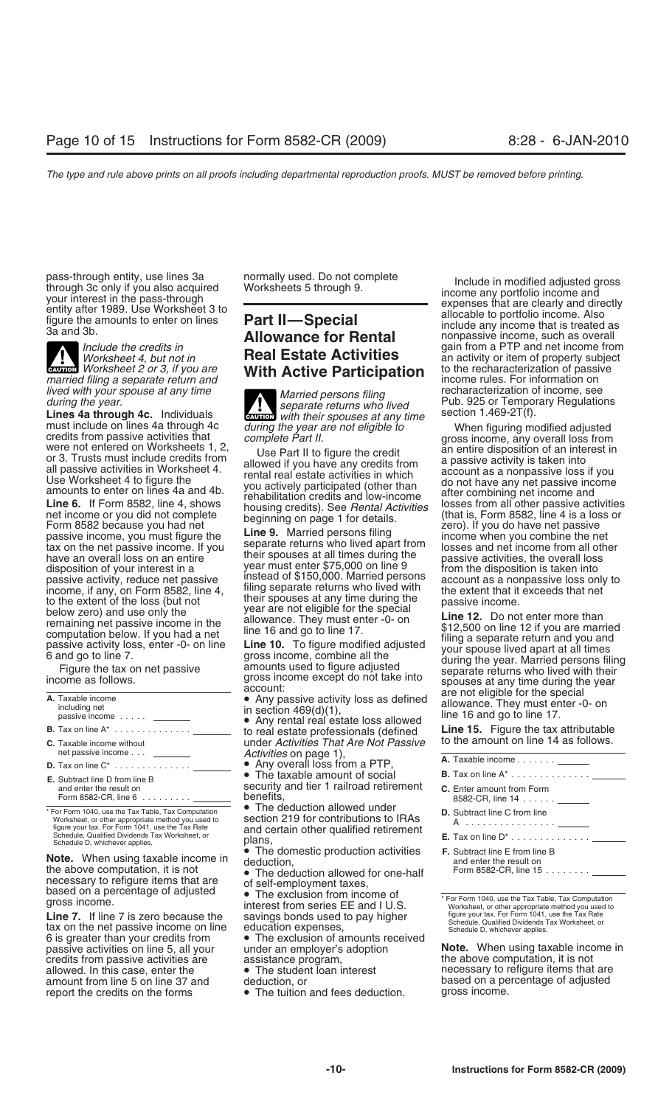

must include on lines 4a through 4c<br>
or 3. Trusts must include on When figuring modified adjusted<br>
or 3. Trusts must include credits 1, 2,<br>
or 3. Trusts must include credits from<br>
all passive activities in Worksheet 4.<br>
al Example the the parameter effect term who lived apent from the relation of the relation of their sponses at all times during the since and relation fice for the disposition of your interest in a year must enter \$75,000 on

|                                                                                                                                                               | auuun.                                                                                                      |                                                                                                 |
|---------------------------------------------------------------------------------------------------------------------------------------------------------------|-------------------------------------------------------------------------------------------------------------|-------------------------------------------------------------------------------------------------|
| A. Taxable income<br>including net<br>passive income _________                                                                                                | • Any passive activity loss as defined<br>in section $469(d)(1)$ ,<br>• Any rental real estate loss allowed | are not eligible for the special<br>allowance. They must enter -0<br>line 16 and go to line 17. |
|                                                                                                                                                               | to real estate professionals (defined                                                                       | <b>Line 15.</b> Figure the tax attribu                                                          |
| <b>C.</b> Taxable income without                                                                                                                              | under Activities That Are Not Passive                                                                       | to the amount on line 14 as fol                                                                 |
| net passive income ________                                                                                                                                   | Activities on page 1),                                                                                      | A. Taxable income ______                                                                        |
| <b>D.</b> Tax on line $C^*$                                                                                                                                   | • Any overall loss from a PTP,                                                                              |                                                                                                 |
| <b>E.</b> Subtract line D from line B                                                                                                                         | • The taxable amount of social                                                                              | <b>B.</b> Tax on line $A^*$                                                                     |
| and enter the result on<br>Form 8582-CR, line $6 \ldots \ldots$                                                                                               | security and tier 1 railroad retirement<br>benefits.                                                        | <b>C.</b> Enter amount from Form<br>8582-CR, line 14                                            |
| * For Form 1040, use the Tax Table, Tax Computation<br>Worksheet, or other appropriate method you used to<br>figure your tax. For Form 1041, use the Tax Rate | • The deduction allowed under<br>section 219 for contributions to IRAs                                      | <b>D.</b> Subtract line C from line                                                             |
| Schodule, Qualified Dividends Tax Worksheet, or                                                                                                               | and certain other qualified retirement                                                                      |                                                                                                 |

• Schedule D, whichever applies.<br> **F.** Schedule D, whichever applies.<br> **F.** Schedule D, whichever applies.<br> **F.** Subtract deduction, the above computation, it is not<br> **F.** The deduction allowed for one-half the above computation, it is not<br>necessary to refigure items that are<br>based on a percentage of adjusted<br>gross income. The exclusion from income of<br>gross income. The exclusion from income of<br>interest from series EE and I U.

**Line 7.** If line 7 is zero because the savings bonds used to pay higher figure your tax. For Form 1041, use the Tax Rate<br>tax on the net passive income on line education expenses,<br>6 is greater than your credits from • The credits from passive activities are assistance program,<br>allowed. In this case, enter the **Compute Compute Computer** allowed. In this case, enter the • The student loan interest entity incressary to refigure items that are<br>amount from line 5 on line 37 and beduction, or report the credits on the forms

## *Worksheet 4, but not in*<br>**Real Estate Activities** an activity or item of property subject and a matter with **Active Participation** to the recharacterization of passive *CAUTION Worksheet 4, but not in*<br>*CAUTION Worksheet 2 or 3, if you are* **With Active Participation** to the recharacterization of passive

during the year.<br> **Lines 4a through 4c.** Individuals **CAUTION** with their spouses at any time section 1.469-2T(f).

to real estate professionals (defined<br>under *Activities That Are Not Passive* to the amount on line 14 as follows.<br>Activities on page 1),

• The deduction allowed under<br>section 219 for contributions to IRAs Worksheet, or other appropriate method you used to<br>
figure your tax. For Form 1041, use the Tax Rate and certain other qualified retirement<br>
Schedule D, whichever applies. Tax Worksheet, or plans, **E.** Tax on line D\* . . .

• The exclusion of amounts received under an employer's adoption

pass-through entity, use lines 3a normally used. Do not complete<br>through 3c only if you also acquired<br>your interest in the pass-through<br>entity after 1989. Use Worksheet 3 to<br>entity after 1989. Use Worksheet 3 to<br>figure the Ju.<br> *Include the credits in*<br> *Include the credits in*<br> *Worksheet 4, but not in*<br> **Real Estate Activities** an activity or item of property subject **With Active Participation** to the recharacterization of passing *married filing a separate return and* **With Active Participation** to the recharacterization of passing married filing a separate return and married filing a separate return and<br>*lived with your spouse at any time Married persons filing* recharacterization of income, see<br>during the year. **Communisty of the separate returns who lived** Pub. 925 or Temporary Reg

| <b>A.</b> Taxable income ______                                                                   |
|---------------------------------------------------------------------------------------------------|
| <b>B.</b> Tax on line $A^*$                                                                       |
| <b>C.</b> Enter amount from Form<br>8582-CR, line 14                                              |
| <b>D.</b> Subtract line C from line<br>A                                                          |
| <b>E.</b> Tax on line $D^*$                                                                       |
| <b>F.</b> Subtract line E from line B<br>and enter the result on<br>Form 8582-CR, line 15........ |

passive activities on line 5, all your under an employer's adoption **Note.** When using taxable income in credits from passive activities are assistance program. deduction, or dine 5 on line 5 on a percentage of adjusted<br>• The tuition and fees deduction. gross income.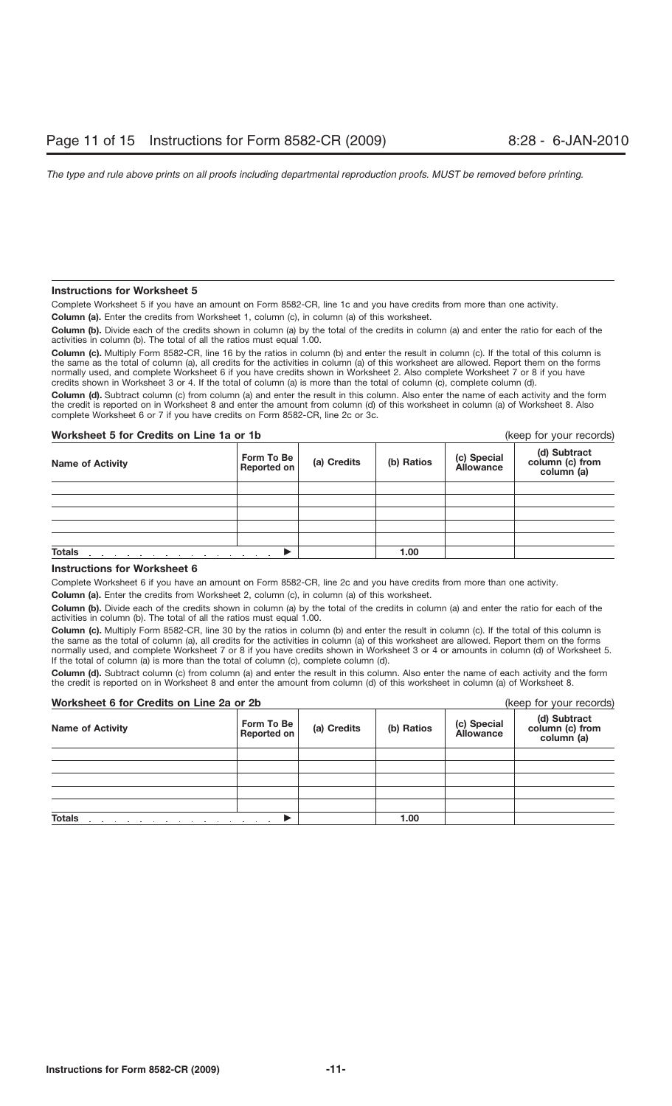## **Instructions for Worksheet 5**

Complete Worksheet 5 if you have an amount on Form 8582-CR, line 1c and you have credits from more than one activity.

**Column (a).** Enter the credits from Worksheet 1, column (c), in column (a) of this worksheet.

**Column (b).** Divide each of the credits shown in column (a) by the total of the credits in column (a) and enter the ratio for each of the activities in column (b). The total of all the ratios must equal 1.00.

Column (c). Multiply Form 8582-CR, line 16 by the ratios in column (b) and enter the result in column (c). If the total of this column is the same as the total of column (a), all credits for the activities in column (a) of this worksheet are allowed. Report them on the forms normally used, and complete Worksheet 6 if you have credits shown in Worksheet 2. Also complete Worksheet 7 or 8 if you have credits shown in Worksheet 3 or 4. If the total of column (a) is more than the total of column (c), complete column (d).

**Column (d).** Subtract column (c) from column (a) and enter the result in this column. Also enter the name of each activity and the form the credit is reported on in Worksheet 8 and enter the amount from column (d) of this worksheet in column (a) of Worksheet 8. Also complete Worksheet 6 or 7 if you have credits on Form 8582-CR, line 2c or 3c.

## **Worksheet 5 for Credits on Line 1a or 1b** (keep for your records)

| <b>Name of Activity</b>                                                                                                                                                                                                                         | Form To Be<br>Reported on | (a) Credits | (b) Ratios | (c) Special<br>Allowance | (d) Subtract<br>column (c) from<br>column (a) |
|-------------------------------------------------------------------------------------------------------------------------------------------------------------------------------------------------------------------------------------------------|---------------------------|-------------|------------|--------------------------|-----------------------------------------------|
|                                                                                                                                                                                                                                                 |                           |             |            |                          |                                               |
|                                                                                                                                                                                                                                                 |                           |             |            |                          |                                               |
|                                                                                                                                                                                                                                                 |                           |             |            |                          |                                               |
|                                                                                                                                                                                                                                                 |                           |             |            |                          |                                               |
|                                                                                                                                                                                                                                                 |                           |             |            |                          |                                               |
| <b>Totals</b><br>the contract of the contract of the contract of the contract of the contract of the contract of the contract of the contract of the contract of the contract of the contract of the contract of the contract of the contract o |                           |             | 1.00       |                          |                                               |

## **Instructions for Worksheet 6**

Complete Worksheet 6 if you have an amount on Form 8582-CR, line 2c and you have credits from more than one activity.

**Column (a).** Enter the credits from Worksheet 2, column (c), in column (a) of this worksheet.

**Column (b).** Divide each of the credits shown in column (a) by the total of the credits in column (a) and enter the ratio for each of the activities in column (b). The total of all the ratios must equal 1.00.

**Column (c).** Multiply Form 8582-CR, line 30 by the ratios in column (b) and enter the result in column (c). If the total of this column is the same as the total of column (a), all credits for the activities in column (a) of this worksheet are allowed. Report them on the forms normally used, and complete Worksheet 7 or 8 if you have credits shown in Worksheet 3 or 4 or amounts in column (d) of Worksheet 5. If the total of column (a) is more than the total of column (c), complete column (d).

**Column (d).** Subtract column (c) from column (a) and enter the result in this column. Also enter the name of each activity and the form the credit is reported on in Worksheet 8 and enter the amount from column (d) of this worksheet in column (a) of Worksheet 8.

| Worksheet 6 for Credits on Line 2a or 2b |                           |             |            | (keep for your records)  |                                               |
|------------------------------------------|---------------------------|-------------|------------|--------------------------|-----------------------------------------------|
| <b>Name of Activity</b>                  | Form To Be<br>Reported on | (a) Credits | (b) Ratios | (c) Special<br>Allowance | (d) Subtract<br>column (c) from<br>column (a) |
|                                          |                           |             |            |                          |                                               |
|                                          |                           |             |            |                          |                                               |
|                                          |                           |             |            |                          |                                               |
|                                          |                           |             |            |                          |                                               |
|                                          |                           |             |            |                          |                                               |
| <b>Totals</b>                            |                           |             | 1.00       |                          |                                               |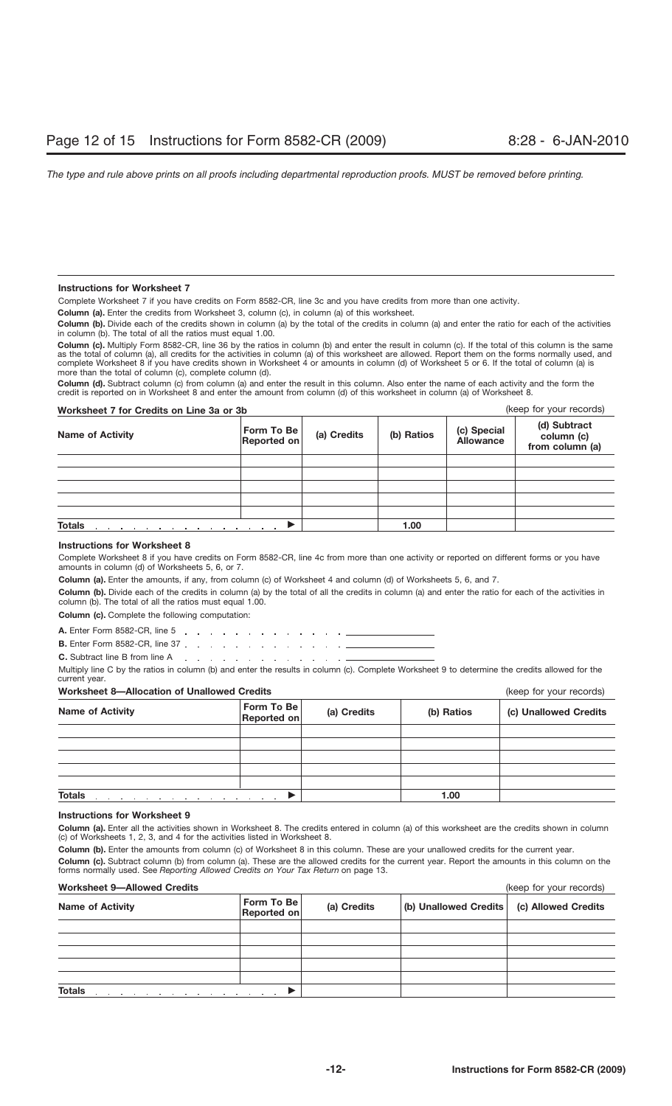## **Instructions for Worksheet 7**

Complete Worksheet 7 if you have credits on Form 8582-CR, line 3c and you have credits from more than one activity.

**Column (a).** Enter the credits from Worksheet 3, column (c), in column (a) of this worksheet.

**Column (b).** Divide each of the credits shown in column (a) by the total of the credits in column (a) and enter the ratio for each of the activities in column (b). The total of all the ratios must equal 1.00.

**Column (c).** Multiply Form 8582-CR, line 36 by the ratios in column (b) and enter the result in column (c). If the total of this column is the same as the total of column (a), all credits for the activities in column (a) of this worksheet are allowed. Report them on the forms normally used, and complete Worksheet 8 if you have credits shown in Worksheet 4 or amounts in column (d) of Worksheet 5 or 6. If the total of column (a) is more than the total of column (c), complete column (d).

**Column (d).** Subtract column (c) from column (a) and enter the result in this column. Also enter the name of each activity and the form the credit is reported on in Worksheet 8 and enter the amount from column (d) of this worksheet in column (a) of Worksheet 8.

## **Worksheet 7 for Credits on Line 3a or 3b**

|  | (keep for your records) |  |
|--|-------------------------|--|
|  |                         |  |

| <b>Name of Activity</b>                                                                          | Form To Be $ $<br>Reported on | (a) Credits | (b) Ratios | (c) Special<br>Allowance | (d) Subtract<br>column (c)<br>from column (a) |
|--------------------------------------------------------------------------------------------------|-------------------------------|-------------|------------|--------------------------|-----------------------------------------------|
|                                                                                                  |                               |             |            |                          |                                               |
|                                                                                                  |                               |             |            |                          |                                               |
|                                                                                                  |                               |             |            |                          |                                               |
|                                                                                                  |                               |             |            |                          |                                               |
|                                                                                                  |                               |             |            |                          |                                               |
| <b>Totals</b><br>the contract of the contract of the contract of the contract of the contract of |                               |             | 1.00       |                          |                                               |

## **Instructions for Worksheet 8**

Complete Worksheet 8 if you have credits on Form 8582-CR, line 4c from more than one activity or reported on different forms or you have amounts in column (d) of Worksheets 5, 6, or 7.

**Column (a).** Enter the amounts, if any, from column (c) of Worksheet 4 and column (d) of Worksheets 5, 6, and 7.

**Column (b).** Divide each of the credits in column (a) by the total of all the credits in column (a) and enter the ratio for each of the activities in column (b). The total of all the ratios must equal 1.00.

**Column (c).** Complete the following computation:

**A.** Enter Form 8582-CR, line 5 (a)  $\therefore$  (b)  $\therefore$  (b)  $\therefore$  (c)  $\therefore$  (c)  $\therefore$  (c) **B.** Enter Form 8582-CR, line 37 . . . . . . . . . . . . . . . . .

**C.** Subtract line B from line A results and a result of the state of the B from line A Multiply line C by the ratios in column (b) and enter the results in column (c). Complete Worksheet 9 to determine the credits allowed for the current year.

## **Worksheet 8—Allocation of Unallowed Credits** (keep for your records) and the state of the state of the state of the state of the state of the state of the state of the state of the state of the state of the state of the s

| <b>Name of Activity</b>                                                                                                          | Form To Be<br>Reported on | (a) Credits | (b) Ratios | (c) Unallowed Credits |
|----------------------------------------------------------------------------------------------------------------------------------|---------------------------|-------------|------------|-----------------------|
|                                                                                                                                  |                           |             |            |                       |
|                                                                                                                                  |                           |             |            |                       |
|                                                                                                                                  |                           |             |            |                       |
|                                                                                                                                  |                           |             |            |                       |
|                                                                                                                                  |                           |             |            |                       |
| <b>Totals</b><br>the contract of the contract of the contract of the contract of the contract of the contract of the contract of |                           |             | 1.00       |                       |

## **Instructions for Worksheet 9**

**Column (a).** Enter all the activities shown in Worksheet 8. The credits entered in column (a) of this worksheet are the credits shown in column (c) of Worksheets 1, 2, 3, and 4 for the activities listed in Worksheet 8.

**Column (b).** Enter the amounts from column (c) of Worksheet 8 in this column. These are your unallowed credits for the current year. **Column (c).** Subtract column (b) from column (a). These are the allowed credits for the current year. Report the amounts in this column on the forms normally used. See *Reporting Allowed Credits on Your Tax Return* on page 13.

## **Worksheet 9—Allowed Credits** (keep for your records)

| <b>WUI NSHEEL 3-AHOWED CREDITS</b>                                           |                           |             | IVEED IN YOUI TECNIUS)                      |  |
|------------------------------------------------------------------------------|---------------------------|-------------|---------------------------------------------|--|
| <b>Name of Activity</b>                                                      | Form To Be<br>Reported on | (a) Credits | (b) Unallowed Credits   (c) Allowed Credits |  |
|                                                                              |                           |             |                                             |  |
|                                                                              |                           |             |                                             |  |
|                                                                              |                           |             |                                             |  |
|                                                                              |                           |             |                                             |  |
|                                                                              |                           |             |                                             |  |
| <b>Totals</b><br>the company of the company of the company of the company of |                           |             |                                             |  |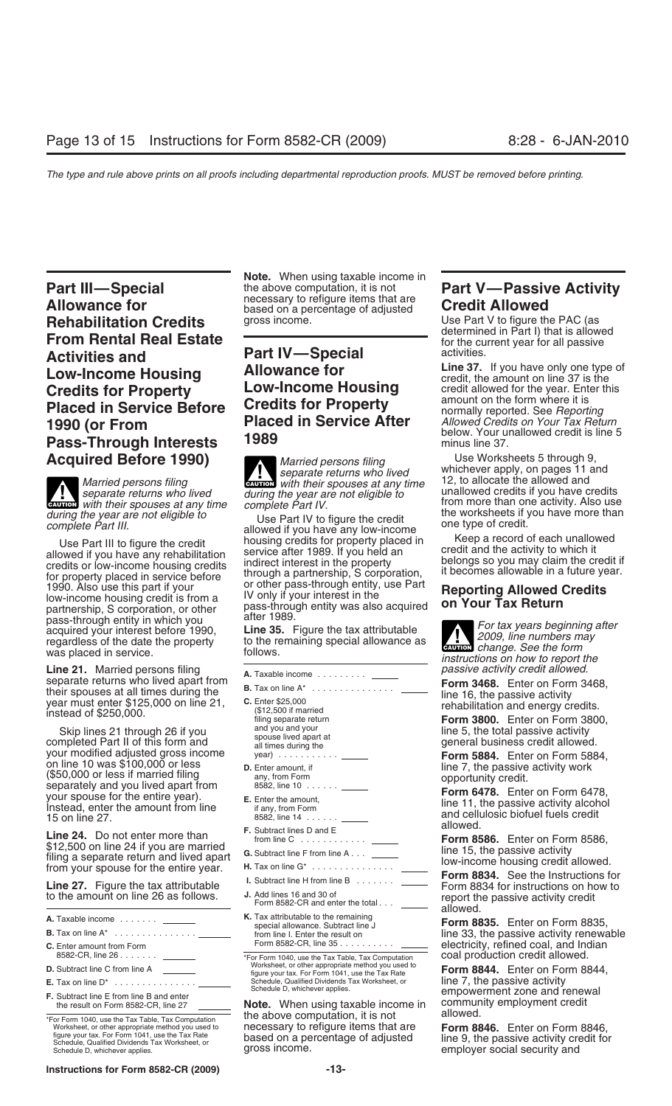**Rehabilitation Credits** gross income. Use Part V to figure the PAC (as determined in Part I) that is allowed **From Rental Real Estate From Rental Real Estate From Rental Real Estate From Rental Part IV**—Special **From Activities**. **Activities and Fart IV—Special** activities.<br>**Low-Income Housing Allowance for Line 37.** If you have only one type of **Low-Income Housing Allowance for**<br>**Credits for Property Low-Income Housing** credit allowed for the year. Enter this **Credits for Property Low-Income Housing** credit allowed for the year. Enter **Placed in Service Before Credits for Property** amount on the form where it is **Placed in Service Before Credits for Property** and allocate on the form where it is<br>**Placed in Service After** Allowed Credits on Your Tax Return **Pass-Through Interests** 

**EAUTION** with their spouses at any time

Use Part III to figure the credit<br>allowed if you have any rehabilitation<br>credits or low-income housing credits<br>for property placed in service after 1989. If you held an<br>credit and the activity to which it<br>for property plac

Line 21. Married persons filing and their spouse for the entire view of their spouse is at all times during the<br>
their spouses at all times during the the content of the passive activity credit allowed.<br>
Wear must enter \$1

Line 24. Do not enter more than<br>
\$12,500 on line 24 if you are married<br>
filing a separate return and lived apart<br>
from your spouse for the entire year.<br> **Line 27.** Figure the tax attributable<br>
<br> **Line 27.** Figure the tax a

- 
- 
- 
- 
- 
- 
- 

**Note.** When using taxable income in the above computation, it is not **Part III—Special** the above computation, it is not **Part V—Passive Activity**<br>**Allowance for** based on a percentage of adjusted **Credit Allowed**<br>**Rehabilitation Credits** gross income. Use Part V to figure the PAC (as

Married persons filing **CAUTION** with their spouses at any time 12, to allocate the allowed and **separate returns who lived** *during the year are not eligible to unallowed credits if you have credits* 

*during the year are not eligible to*<br> *during the year are not eligible to*<br>
allowed if you have any low-income<br> **Example Part III.** to figure the credit<br> **Example Part III.** to figure the credit serves if you have any lo

- 
- 
- 
- 
- 
- 
- 
- 
- 
- 
- 
- Worksheet, or other appropriate method you used to **D.** Subtract line C from line A **Form 8844.** Enter on Form 8844, figure your tax. For Form 1041, use the Tax Rate

For Form 1040, use the Tax Table, Tax Computation<br>
Worksheet, or other appropriate method you used to<br>
figure your tax. Here Tax Rate<br>
Schedule D, whichever applies.<br>
Schedule D, whichever applies.<br>
Schedule D, whichever a

**Placed in Service After** *Allowed Credits on Your Tax Return* **1990 (or From** below. Your unallowed credit is line 5

**Acquired Before 1990)** *Married persons filing* Use Worksheets 5 through 9,<br>separate returns who lived whichever apply, on pages 11 and complete Part IV. The constant of the worksheets if you have more than

**ENTION** change. See the form was placed in service.<br> **Line 21.** Married persons filing **instructions on how to report the**<br> **instructions on how to report the**<br> **instructions on how to report the**<br>
passive activity credit allowed.

8582, line 14 and cellulosic biofuel fuels credit 15 on line 27. ......

**J.** Add lines 16 and 30 of to the amount on line 26 as follows. report the passive activity credit Form 8582-CR and enter the total . . . allowed.

**A.** Taxable income ....... **K.** Tax attributable to the remaining **Form 8835.** Enter on Form 8835, special allowance. Subtract line J **B.** Tax on line A\* ............... from line I. Enter the result on line 33, the passive activity renewable **C.** Enter amount from Form Form 8582-CR, line 35 .......... electricity, refined coal, and Indian  $*$ For Form 1040, use the Tax Table, Tax Computation coal production credit allowed.

**E.** Tax on line D\* ............... Schedule, Qualified Dividends Tax Worksheet, or line 7, the passive activity Schedule D, whichever applies. empowerment zone and renewal **F.** Subtract line E from line B and enter community employment credit the result on Form 8582-CR, line 27 **Note.** When using taxable income in allowed. the above computation, it is not \*For Form 1040, use the Tax Table, Tax Computation

employer social security and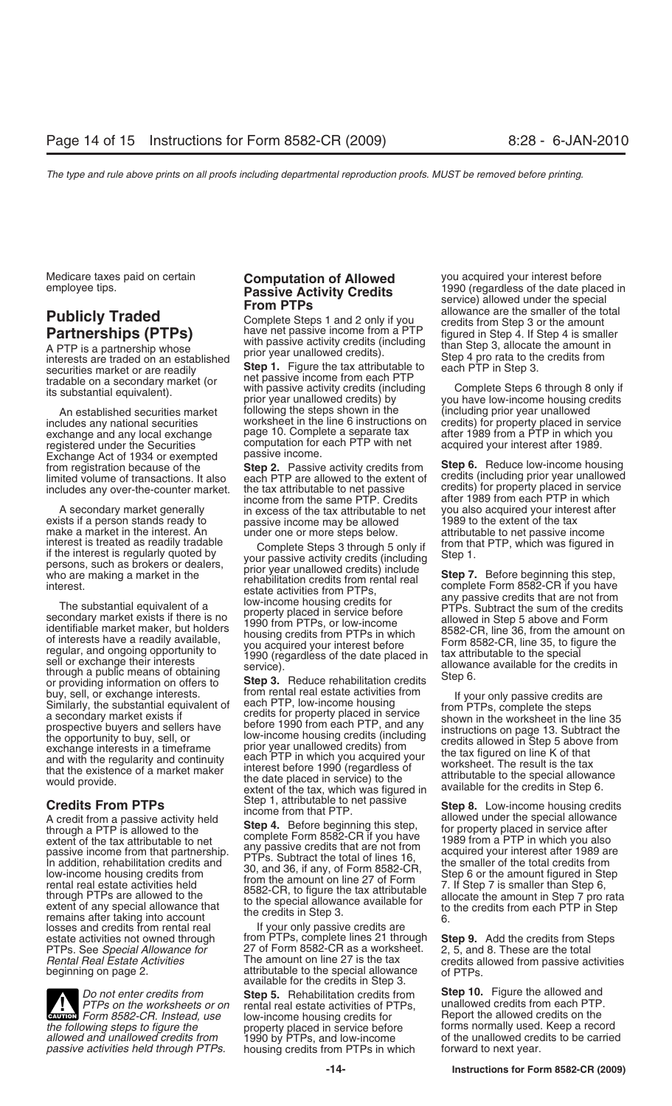exchange and any local exchange page 10. Complete a separate tax after 1989 from a PTP in which your interest after 1989.<br>The registered under the Securities computation for each PTP with net acquired your interest after 1 registered under the Securities computation for<br>Exchange Act of 1934 or exempted passive income. Exchange Act of 1934 or exempted

losses and credits from rental real If your only passive credits are PTPs. See *Special Allowance for* 27 of Form 8582-CR as a worksheet. 2, 5, and 8. These are the total

**CAUTION** *Form 8582-CR. Instead, use* low-income housing credits for<br>the following steps to figure the **property placed in service before** *the following steps to figure the* property placed in service before forms normally used. Keep a record allowed and unallowed credits from 1990 by PTPs, and low-income of the unallowed credits to be carried allowed and unallowed credits from 1990 by PTPs, and low-income of the unallowed credits to be carried passive activities held through PTPs. housing credits from PTPs in which forward to next year.

securities market or an exactly<br>securities market or are readily<br>tradable on a secondary market (or the passive income from each PTP<br>its substantial equivalent).<br>its substantial equivalent). This prior year unallowed credi An established securities market following the steps shown in the tensor including prior year unallowed<br>An established securities market following the steps shown in the (including prior year unallowed<br>includes any nationa worksheet in the line 6 instructions on credits) for property placed in service<br>page 10. Complete a separate tax after 1989 from a PTP in which you

each PTP are allowed to the extent of credits (including prior year unallowed the tax attributable to net passive credits) for property placed in service includes any over-the-counter market. the tax attributable to net passive<br>income from the same PTP. Credits A secondary market generally in excess of the tax attributable to net you also acquired your interest after interest after interest after interest after interest after interest after interest after interest after interest exists if a person stands ready to exactive income may be allowed 1989 to the extent of the tax make a market in the interest. An under one or more steps below. An altributable to net passive income

make a market in the interest. An imder one or more steps below. attributable to net passive income<br>if the interest is readed a reality tradable<br>if the interest is regularly quoted by<br>persons, such as brokers or dealers,<br>p

buy, sell, or exchange interests. From rental real estate activities from<br>Similarly, the substantial equivalent of each PTP, low-income housing<br>a secondary market exists if credits for property placed in service<br>before 199 prospective buyers and sellers have before 1990 from each PTP, and any<br>the opportunity to buy, sell, or low-income housing credits (including<br>exchange interests in a timeframe prior year unallowed credits) from<br>and with th the date placed in service) to the attributable to the special allowant<br>extent of the tax, which was figured in available for the credits in Step 6.<br>Step 1, attributable to net passive

A credit fight a passive activity held<br>through a PTP is allowed to the<br>extent of the tax attributable to net<br>passive income from that partnership. any passive credits that are not from<br>a PTP in which you also<br>acquired your

estate activities not owned through from PTPs, complete lines 21 through **Step 9.** Add the credits from Steps PTPs. See Special Allowance for 27 of Form 8582-CR as a worksheet. 2, 5, and 8. These are the total attributable to the special allowance of PTPs. available for the credits in Step 3.

> rental real estate activities of PTPs, and unallowed credits from each PTP.<br>low-income housing credits for **Report** the allowed credits on the housing credits from PTPs in which

Medicare taxes paid on certain **Computation of Allowed** you acquired your interest before<br>
employee tips.<br> **Publicly Traded** From PTPs<br>
Complete Steps 1 and 2 only if you are are the smaller of the total<br>
employee tips.<br>
P **Partnerships (PTPs)** have net passive income from a PTP figured in Step 4. If Step 4 is smaller<br>A PTP is a partnership whose prior year unallowed credits).<br>Interests are traded on an established **Step 1** Figure the tow st

from registration because of the **Step 2.** Passive activity credits from **Step 6.** Reduce low-income housing after 1989 from each PTP in which

**Credits From PTPs** Step 1, attributable to net passive **Step 8.** Low-income housing credits income from that PTP.<br>A credit from a passive activity held **Step 4.** Peters beginning this ctop allowed under the special allowa Exercise income from that partnership. These structures are to the credits that are not from<br>
In addition, rehabilitation credits and<br>
In addition, rehabilitation credits and<br>
In addition, rehabilitation credits and<br>
In ad

*Rental Real Estate Activities* The amount on line 27 is the tax credits allowed from passive activities beginning on page 2.

*Do not enter credits from* **Step 5.** Rehabilitation credits from **Step 10.** Figure the allowed and